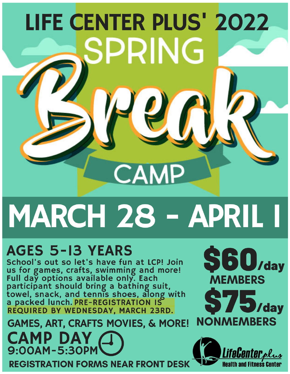## **LIFE CENTER PLUS' 2022** PRING **MP**

## MARCH 28 - APRIL T

## **AGES 5-13 YEARS**

School's out so let's have fun at LCP! Join us for games, crafts, swimming and more!<br>Full day options available only. Each participant should bring a bathing suit,<br>towel, snack, and tennis shoes, along with<br>a packed lunch. PRE-REGISTRATION IS REQUIRED BY WEDNESDAY, MARCH 23RD.

**GAMES, ART, CRAFTS MOVIES, & MORE! CAMP DAY**<br>9:00AM-5:30PM **REGISTRATION FORMS NEAR FRONT DESK**